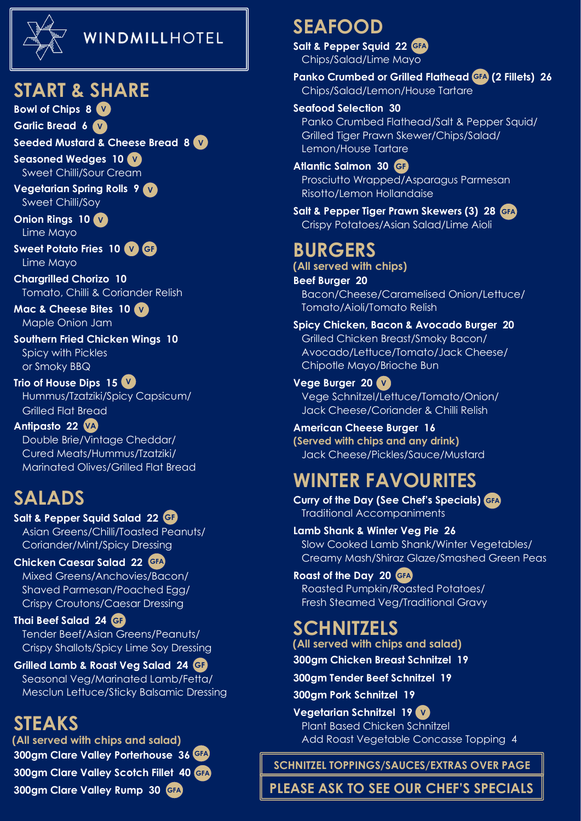

#### WINDMILLHOTEL

#### **START & SHARE**

**Bowl of Chips 8 V**

**Garlic Bread 6 V**

**Seeded Mustard & Cheese Bread 8 V**

**Seasoned Wedges 10 V** Sweet Chilli/Sour Cream

**Vegetarian Spring Rolls 9 V** Sweet Chilli/Soy

**Onion Rings 10 V** Lime Mayo

**Sweet Potato Fries 10 V GF** Lime Mayo

**Chargrilled Chorizo 10** Tomato, Chilli & Coriander Relish

**Mac & Cheese Bites 10 V** Maple Onion Jam

**Southern Fried Chicken Wings 10** Spicy with Pickles or Smoky BBQ

**Trio of House Dips 15 V** Hummus/Tzatziki/Spicy Capsicum/ Grilled Flat Bread

**Antipasto 22 VA** Double Brie/Vintage Cheddar/ Cured Meats/Hummus/Tzatziki/ Marinated Olives/Grilled Flat Bread

#### **SALADS**

**Salt & Pepper Squid Salad 22 GF** Asian Greens/Chilli/Toasted Peanuts/

 Coriander/Mint/Spicy Dressing **Chicken Caesar Salad 22 GFA**

 Mixed Greens/Anchovies/Bacon/ Shaved Parmesan/Poached Egg/ Crispy Croutons/Caesar Dressing

**Thai Beef Salad 24 GF** Tender Beef/Asian Greens/Peanuts/ Crispy Shallots/Spicy Lime Soy Dressing

**Grilled Lamb & Roast Veg Salad 24 GF** Seasonal Veg/Marinated Lamb/Fetta/ Mesclun Lettuce/Sticky Balsamic Dressing

#### **STEAKS**

**300gm Clare Valley Porterhouse 36 GFA 300gm Clare Valley Scotch Fillet 40 GFA**

**300gm Clare Valley Rump 30 GFA**

### **SEAFOOD**

**Salt & Pepper Squid 22 GFA** Chips/Salad/Lime Mayo

**Panko Crumbed or Grilled Flathead (2 Fillets) 26 GFA** Chips/Salad/Lemon/House Tartare

#### **Seafood Selection 30**

 Panko Crumbed Flathead/Salt & Pepper Squid/ Grilled Tiger Prawn Skewer/Chips/Salad/ Lemon/House Tartare

**Atlantic Salmon 30 GF**Prosciutto Wrapped/Asparagus Parmesan

Risotto/Lemon Hollandaise

**Salt & Pepper Tiger Prawn Skewers (3) 28 GFA** Crispy Potatoes/Asian Salad/Lime Aioli

## **BURGERS**

**(All served with chips)**

**Beef Burger 20** Bacon/Cheese/Caramelised Onion/Lettuce/ Tomato/Aioli/Tomato Relish

**Spicy Chicken, Bacon & Avocado Burger 20** Grilled Chicken Breast/Smoky Bacon/ Avocado/Lettuce/Tomato/Jack Cheese/ Chipotle Mayo/Brioche Bun

**Vege Burger 20 V** Vege Schnitzel/Lettuce/Tomato/Onion/ Jack Cheese/Coriander & Chilli Relish

**American Cheese Burger 16 (Served with chips and any drink)** Jack Cheese/Pickles/Sauce/Mustard

# **WINTER FAVOURITES**

**Curry of the Day (See Chef's Specials) GFA** Traditional Accompaniments

**Lamb Shank & Winter Veg Pie 26** Slow Cooked Lamb Shank/Winter Vegetables/ Creamy Mash/Shiraz Glaze/Smashed Green Peas

**Roast of the Day 20 GFA** Roasted Pumpkin/Roasted Potatoes/ Fresh Steamed Veg/Traditional Gravy

#### **SCHNITZELS**

**(All served with chips and salad)**

**300gm Chicken Breast Schnitzel 19**

**300gm Tender Beef Schnitzel 19**

**300gm Pork Schnitzel 19**

**Vegetarian Schnitzel 19 V** Plant Based Chicken Schnitzel **(All served with chips and salad)** Add Roast Vegetable Concasse Topping 4

**SCHNITZEL TOPPINGS/SAUCES/EXTRAS OVER PAGE**

**PLEASE ASK TO SEE OUR CHEF'S SPECIALS**